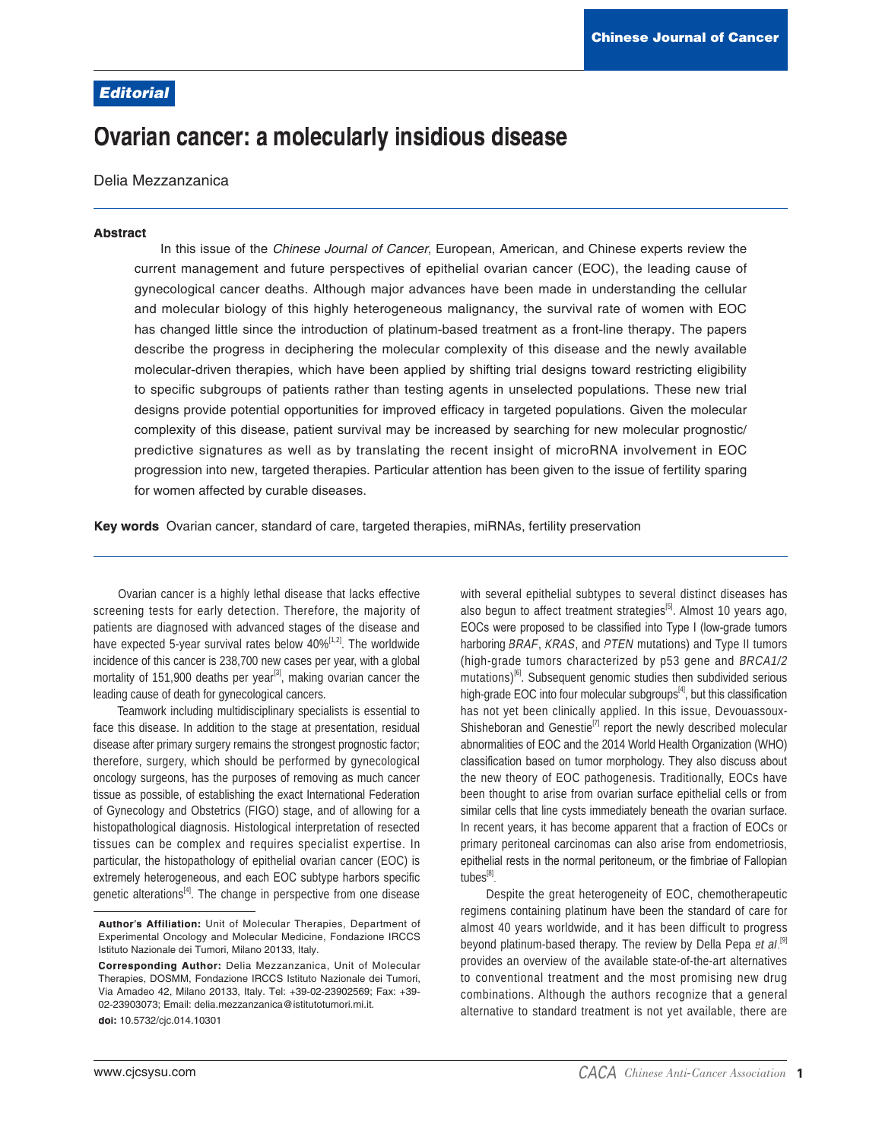## **Editorial**

# Ovarian cancer: a molecularly insidious disease

Delia Mezzanzanica

#### **Abstract**

In this issue of the Chinese Journal of Cancer, European, American, and Chinese experts review the current management and future perspectives of epithelial ovarian cancer (EOC), the leading cause of gynecological cancer deaths. Although major advances have been made in understanding the cellular and molecular biology of this highly heterogeneous malignancy, the survival rate of women with EOC has changed little since the introduction of platinum-based treatment as a front-line therapy. The papers describe the progress in deciphering the molecular complexity of this disease and the newly available molecular-driven therapies, which have been applied by shifting trial designs toward restricting eligibility to specific subgroups of patients rather than testing agents in unselected populations. These new trial designs provide potential opportunities for improved efficacy in targeted populations. Given the molecular complexity of this disease, patient survival may be increased by searching for new molecular prognostic/ predictive signatures as well as by translating the recent insight of microRNA involvement in EOC progression into new, targeted therapies. Particular attention has been given to the issue of fertility sparing for women affected by curable diseases.

Key words Ovarian cancer, standard of care, targeted therapies, miRNAs, fertility preservation

Ovarian cancer is a highly lethal disease that lacks effective screening tests for early detection. Therefore, the majority of patients are diagnosed with advanced stages of the disease and have expected 5-year survival rates below 40%<sup>[1,2]</sup>. The worldwide incidence of this cancer is 238,700 new cases per year, with a global mortality of 151,900 deaths per year<sup>[3]</sup>, making ovarian cancer the leading cause of death for gynecological cancers.

Teamwork including multidisciplinary specialists is essential to face this disease. In addition to the stage at presentation, residual disease after primary surgery remains the strongest prognostic factor; therefore, surgery, which should be performed by gynecological oncology surgeons, has the purposes of removing as much cancer tissue as possible, of establishing the exact International Federation of Gynecology and Obstetrics (FIGO) stage, and of allowing for a histopathological diagnosis. Histological interpretation of resected tissues can be complex and requires specialist expertise. In particular, the histopathology of epithelial ovarian cancer (EOC) is extremely heterogeneous, and each EOC subtype harbors specific genetic alterations<sup>[4]</sup>. The change in perspective from one disease

with several epithelial subtypes to several distinct diseases has also begun to affect treatment strategies<sup>[5]</sup>. Almost 10 years ago, EOCs were proposed to be classified into Type I (low-grade tumors harboring BRAF, KRAS, and PTEN mutations) and Type II tumors (high-grade tumors characterized by p53 gene and BRCA1/2 mutations)<sup>[6]</sup>. Subsequent genomic studies then subdivided serious high-grade EOC into four molecular subgroups<sup>[4]</sup>, but this classification has not yet been clinically applied. In this issue, Devouassoux-Shisheboran and Genestie<sup>[7]</sup> report the newly described molecular abnormalities of EOC and the 2014 World Health Organization (WHO) classification based on tumor morphology. They also discuss about the new theory of EOC pathogenesis. Traditionally, EOCs have been thought to arise from ovarian surface epithelial cells or from similar cells that line cysts immediately beneath the ovarian surface. In recent years, it has become apparent that a fraction of EOCs or primary peritoneal carcinomas can also arise from endometriosis, epithelial rests in the normal peritoneum, or the fimbriae of Fallopian tubes[8].

Despite the great heterogeneity of EOC, chemotherapeutic regimens containing platinum have been the standard of care for almost 40 years worldwide, and it has been difficult to progress beyond platinum-based therapy. The review by Della Pepa et al.<sup>[9]</sup> provides an overview of the available state-of-the-art alternatives to conventional treatment and the most promising new drug combinations. Although the authors recognize that a general alternative to standard treatment is not yet available, there are

Author's Affiliation: Unit of Molecular Therapies, Department of Experimental Oncology and Molecular Medicine, Fondazione IRCCS Istituto Nazionale dei Tumori, Milano 20133, Italy.

Corresponding Author: Delia Mezzanzanica, Unit of Molecular Therapies, DOSMM, Fondazione IRCCS Istituto Nazionale dei Tumori, Via Amadeo 42, Milano 20133, Italy. Tel: +39-02-23902569; Fax: +39-02-23903073; Email: delia.mezzanzanica@istitutotumori.mi.it.

doi: 10.5732/cjc.014.10301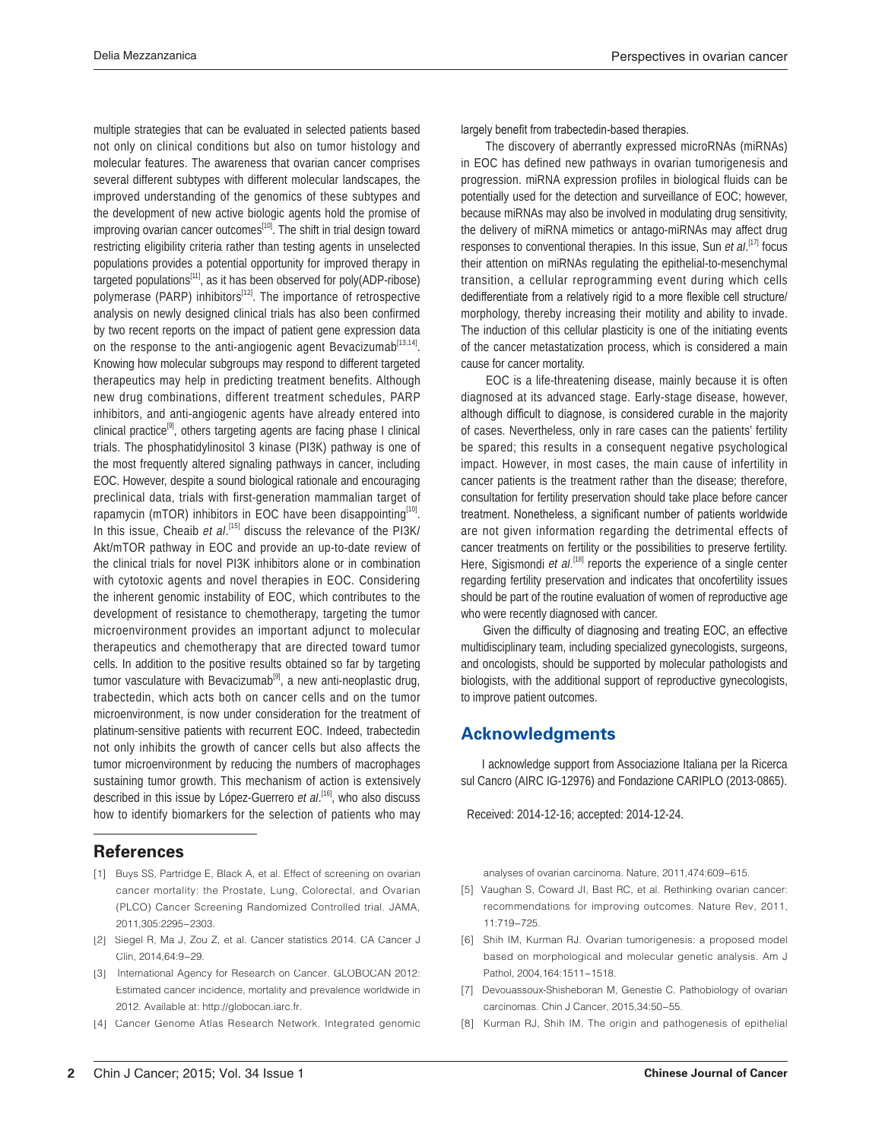multiple strategies that can be evaluated in selected patients based not only on clinical conditions but also on tumor histology and molecular features. The awareness that ovarian cancer comprises several different subtypes with different molecular landscapes, the improved understanding of the genomics of these subtypes and the development of new active biologic agents hold the promise of improving ovarian cancer outcomes<sup>[10]</sup>. The shift in trial design toward restricting eligibility criteria rather than testing agents in unselected populations provides a potential opportunity for improved therapy in targeted populations<sup>[11]</sup>, as it has been observed for poly(ADP-ribose) polymerase (PARP) inhibitors<sup>[12]</sup>. The importance of retrospective analysis on newly designed clinical trials has also been confirmed by two recent reports on the impact of patient gene expression data on the response to the anti-angiogenic agent Bevacizumab<sup>[13,14]</sup>. Knowing how molecular subgroups may respond to different targeted therapeutics may help in predicting treatment benefits. Although new drug combinations, different treatment schedules, PARP inhibitors, and anti-angiogenic agents have already entered into clinical practice<sup>[9]</sup>, others targeting agents are facing phase I clinical trials. The phosphatidylinositol 3 kinase (PI3K) pathway is one of the most frequently altered signaling pathways in cancer, including EOC. However, despite a sound biological rationale and encouraging preclinical data, trials with first-generation mammalian target of rapamycin (mTOR) inhibitors in EOC have been disappointing<sup>[10]</sup>. In this issue, Cheaib et al.<sup>[15]</sup> discuss the relevance of the PI3K/ Akt/mTOR pathway in EOC and provide an up-to-date review of the clinical trials for novel PI3K inhibitors alone or in combination with cytotoxic agents and novel therapies in EOC. Considering the inherent genomic instability of EOC, which contributes to the development of resistance to chemotherapy, targeting the tumor microenvironment provides an important adjunct to molecular therapeutics and chemotherapy that are directed toward tumor cells. In addition to the positive results obtained so far by targeting tumor vasculature with Bevacizumab<sup>[9]</sup>, a new anti-neoplastic drug, trabectedin, which acts both on cancer cells and on the tumor microenvironment, is now under consideration for the treatment of platinum-sensitive patients with recurrent EOC. Indeed, trabectedin not only inhibits the growth of cancer cells but also affects the tumor microenvironment by reducing the numbers of macrophages sustaining tumor growth. This mechanism of action is extensively described in this issue by López-Guerrero et al.<sup>[16]</sup>, who also discuss how to identify biomarkers for the selection of patients who may

### **References**

- [1] Buys SS, Partridge E, Black A, et al. Effect of screening on ovarian cancer mortality: the Prostate, Lung, Colorectal, and Ovarian (PLCO) Cancer Screening Randomized Controlled trial. JAMA, 2011,305:2295-2303.
- [2] Siegel R, Ma J, Zou Z, et al. Cancer statistics 2014. CA Cancer J Clin, 2014,64:9-29.
- [3] International Agency for Research on Cancer. GLOBOCAN 2012: Estimated cancer incidence, mortality and prevalence worldwide in 2012. Available at: http://globocan.iarc.fr.
- [4] Cancer Genome Atlas Research Network. Integrated genomic

#### largely benefit from trabectedin-based therapies.

 The discovery of aberrantly expressed microRNAs (miRNAs) in EOC has defined new pathways in ovarian tumorigenesis and progression. miRNA expression profiles in biological fluids can be potentially used for the detection and surveillance of EOC; however, because miRNAs may also be involved in modulating drug sensitivity, the delivery of miRNA mimetics or antago-miRNAs may affect drug responses to conventional therapies. In this issue, Sun et al.<sup>[17]</sup> focus their attention on miRNAs regulating the epithelial-to-mesenchymal transition, a cellular reprogramming event during which cells dedifferentiate from a relatively rigid to a more flexible cell structure/ morphology, thereby increasing their motility and ability to invade. The induction of this cellular plasticity is one of the initiating events of the cancer metastatization process, which is considered a main cause for cancer mortality.

 EOC is a life-threatening disease, mainly because it is often diagnosed at its advanced stage. Early-stage disease, however, although difficult to diagnose, is considered curable in the majority of cases. Nevertheless, only in rare cases can the patients' fertility be spared; this results in a consequent negative psychological impact. However, in most cases, the main cause of infertility in cancer patients is the treatment rather than the disease; therefore, consultation for fertility preservation should take place before cancer treatment. Nonetheless, a significant number of patients worldwide are not given information regarding the detrimental effects of cancer treatments on fertility or the possibilities to preserve fertility. Here, Sigismondi et  $aL^{[18]}$  reports the experience of a single center regarding fertility preservation and indicates that oncofertility issues should be part of the routine evaluation of women of reproductive age who were recently diagnosed with cancer.

Given the difficulty of diagnosing and treating EOC, an effective multidisciplinary team, including specialized gynecologists, surgeons, and oncologists, should be supported by molecular pathologists and biologists, with the additional support of reproductive gynecologists, to improve patient outcomes.

### **Acknowledgments**

 I acknowledge support from Associazione Italiana per la Ricerca sul Cancro (AIRC IG-12976) and Fondazione CARIPLO (2013-0865).

Received: 2014-12-16; accepted: 2014-12-24.

analyses of ovarian carcinoma. Nature, 2011,474:609-615.

- [5] Vaughan S, Coward JI, Bast RC, et al. Rethinking ovarian cancer: recommendations for improving outcomes. Nature Rev, 2011, 11:719-725.
- [6] Shih IM, Kurman RJ. Ovarian tumorigenesis: a proposed model based on morphological and molecular genetic analysis. Am J Pathol, 2004, 164: 1511-1518.
- [7] Devouassoux-Shisheboran M, Genestie C. Pathobiology of ovarian carcinomas. Chin J Cancer, 2015,34:50-55.
- [8] Kurman RJ, Shih IM. The origin and pathogenesis of epithelial